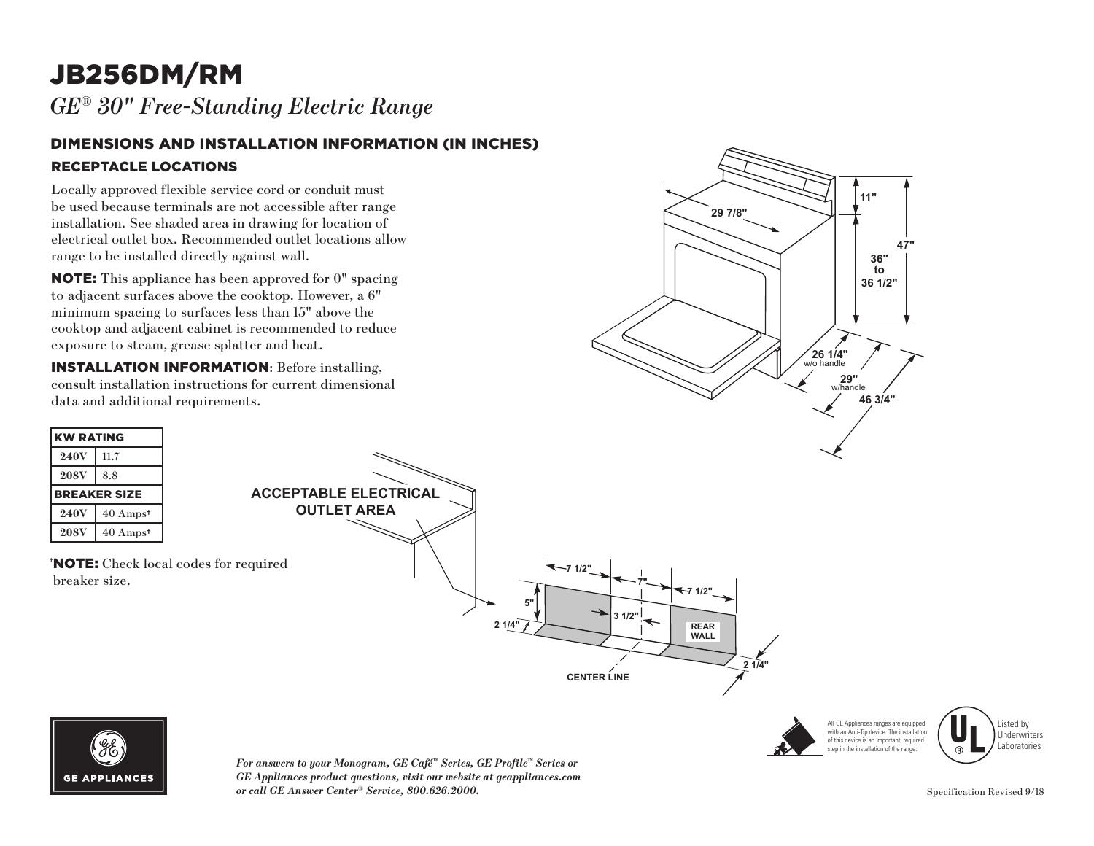# JB256DM/RM

*GE® 30" Free-Standing Electric Range* 

#### DIMENSIONS AND INSTALLATION INFORMATION (IN INCHES) RECEPTACLE LOCATIONS

Locally approved flexible service cord or conduit must be used because terminals are not accessible after range installation. See shaded area in drawing for location of electrical outlet box. Recommended outlet locations allow range to be installed directly against wall.

NOTE: This appliance has been approved for 0" spacing to adjacent surfaces above the cooktop. However, a 6" minimum spacing to surfaces less than 15" above the cooktop and adjacent cabinet is recommended to reduce exposure to steam, grease splatter and heat.

INSTALLATION INFORMATION: Before installing, consult installation instructions for current dimensional data and additional requirements.







Listed by Underwriters Laboratories



*For answers to your Monogram, GE Café™ Series, GE Profile™ Series or*   $GE$  Appliances product questions, visit our website at geappliances.com *or call GE Answer Center® Service, 800.626.2000.* **29"**